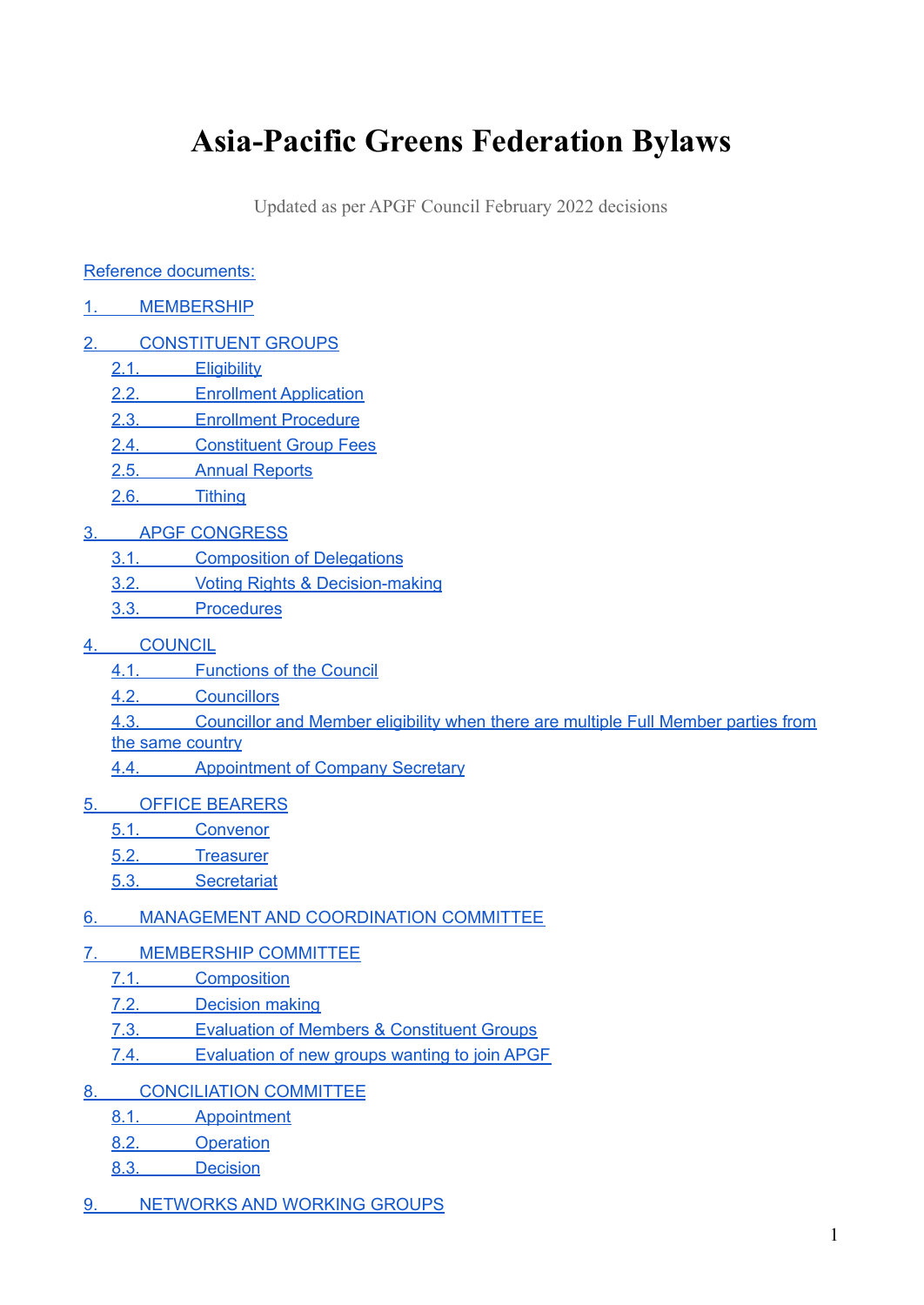# **Asia-Pacific Greens Federation Bylaws**

Updated as per APGF Council February 2022 decisions

#### Reference [documents:](#page-1-0)

- 1. [MEMBERSHIP](#page-1-1)
- 2. [CONSTITUENT](#page-1-2) GROUPS
	- 2.1. [Eligibility](#page-1-3)
		- 2.2. Enrollment [Application](#page-1-4)
		- 2.3. [Enrollment](#page-2-0) Procedure
		- 2.4. [Constituent](#page-3-0) Group Fees
		- 2.5. Annual [Reports](#page-4-0)
		- 2.6. [Tithing](#page-4-1)
- 3. APGF [CONGRESS](#page-5-0)
	- 3.1. [Composition](#page-5-1) of Delegations
	- 3.2. Voting Rights & [Decision-making](#page-5-2)
	- 3.3. [Procedures](#page-5-3)
- 4. [COUNCIL](#page-5-4)
	- 4.1. [Functions](#page-5-5) of the Council
	- 4.2. [Councillors](#page-5-6)
	- 4.3. [Councillor](#page-6-0) and Member eligibility when there are multiple Full Member parties from the same [country](#page-6-0)
	- 4.4. [Appointment](#page-7-0) of Company Secretary
- 5. OFFICE [BEARERS](#page-7-1)
	- 5.1. [Convenor](#page-7-2)
	- 5.2. [Treasurer](#page-8-0)
	- 5.3. [Secretariat](#page-8-1)

#### 6. MANAGEMENT AND [COORDINATION](#page-9-0) COMMITTEE

- 7. [MEMBERSHIP](#page-9-1) COMMITTEE
	- 7.1. [Composition](#page-9-2)
	- 7.2. [Decision](#page-10-0) making
	- 7.3. Evaluation of Members & [Constituent](#page-10-1) Groups
	- 7.4. [Evaluation](#page-11-0) of new groups wanting to join APGF
- 8. [CONCILIATION](#page-11-1) COMMITTEE
	- 8.1. [Appointment](#page-11-2)
	- 8.2. [Operation](#page-11-3)
	- 8.3. [Decision](#page-11-4)
- 9. [NETWORKS](#page-12-0) AND WORKING GROUPS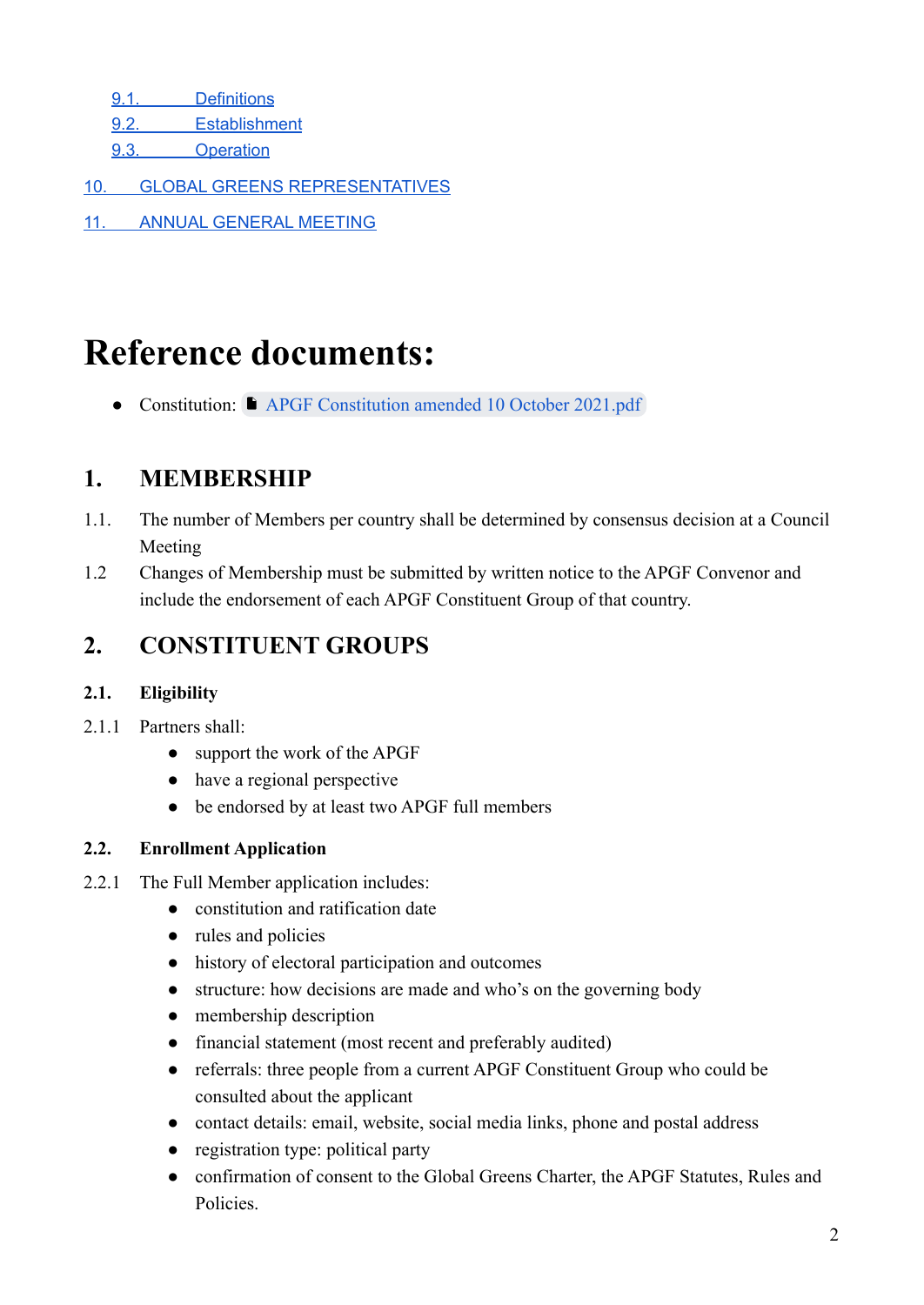9.1. [Definitions](#page-12-1)

9.2. [Establishment](#page-12-2)

9.3. [Operation](#page-12-3)

- 10. GLOBAL GREENS [REPRESENTATIVES](#page-12-4)
- 11. ANNUAL [GENERAL](#page-13-0) MEETING

# <span id="page-1-0"></span>**Reference documents:**

● Constitution: ■ [APGF Constitution amended 10 October 2021.pdf](https://drive.google.com/file/d/1AdtKSshV2dhGdn7tL1IwvyC00oU4ufDT/view?usp=sharing)

# <span id="page-1-1"></span>**1. MEMBERSHIP**

- 1.1. The number of Members per country shall be determined by consensus decision at a Council Meeting
- 1.2 Changes of Membership must be submitted by written notice to the APGF Convenor and include the endorsement of each APGF Constituent Group of that country.

# <span id="page-1-2"></span>**2. CONSTITUENT GROUPS**

#### <span id="page-1-3"></span>**2.1. Eligibility**

- 2.1.1 Partners shall
	- support the work of the APGF
	- have a regional perspective
	- be endorsed by at least two APGF full members

#### <span id="page-1-4"></span>**2.2. Enrollment Application**

- 2.2.1 The Full Member application includes:
	- constitution and ratification date
	- rules and policies
	- history of electoral participation and outcomes
	- structure: how decisions are made and who's on the governing body
	- membership description
	- financial statement (most recent and preferably audited)
	- referrals: three people from a current APGF Constituent Group who could be consulted about the applicant
	- contact details: email, website, social media links, phone and postal address
	- registration type: political party
	- confirmation of consent to the Global Greens Charter, the APGF Statutes, Rules and Policies.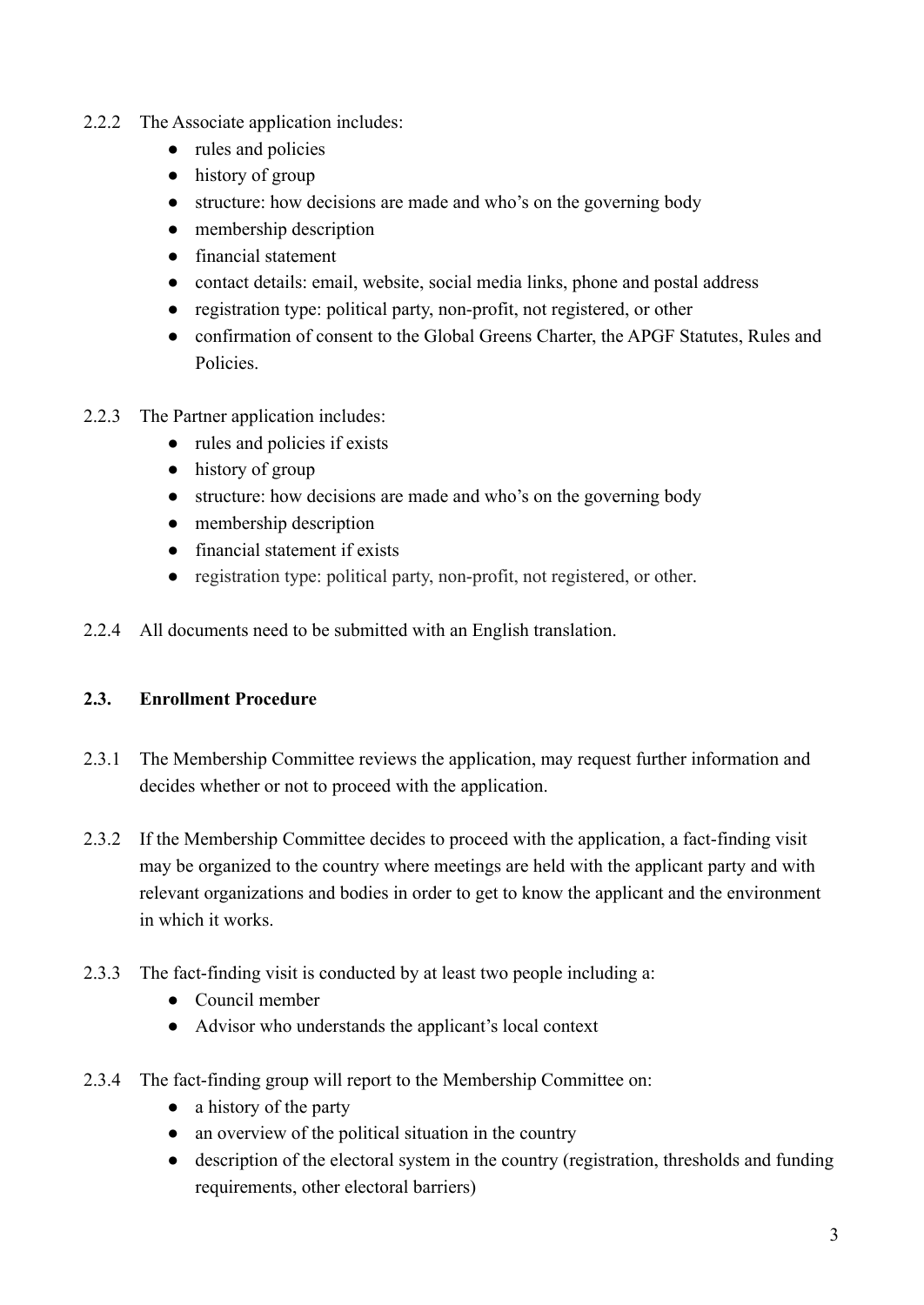- 2.2.2 The Associate application includes:
	- rules and policies
	- history of group
	- structure: how decisions are made and who's on the governing body
	- membership description
	- financial statement
	- contact details: email, website, social media links, phone and postal address
	- registration type: political party, non-profit, not registered, or other
	- confirmation of consent to the Global Greens Charter, the APGF Statutes, Rules and Policies.
- 2.2.3 The Partner application includes:
	- rules and policies if exists
	- history of group
	- structure: how decisions are made and who's on the governing body
	- membership description
	- financial statement if exists
	- registration type: political party, non-profit, not registered, or other.
- 2.2.4 All documents need to be submitted with an English translation.

#### <span id="page-2-0"></span>**2.3. Enrollment Procedure**

- 2.3.1 The Membership Committee reviews the application, may request further information and decides whether or not to proceed with the application.
- 2.3.2 If the Membership Committee decides to proceed with the application, a fact-finding visit may be organized to the country where meetings are held with the applicant party and with relevant organizations and bodies in order to get to know the applicant and the environment in which it works.
- 2.3.3 The fact-finding visit is conducted by at least two people including a:
	- Council member
	- Advisor who understands the applicant's local context
- 2.3.4 The fact-finding group will report to the Membership Committee on:
	- a history of the party
	- an overview of the political situation in the country
	- description of the electoral system in the country (registration, thresholds and funding requirements, other electoral barriers)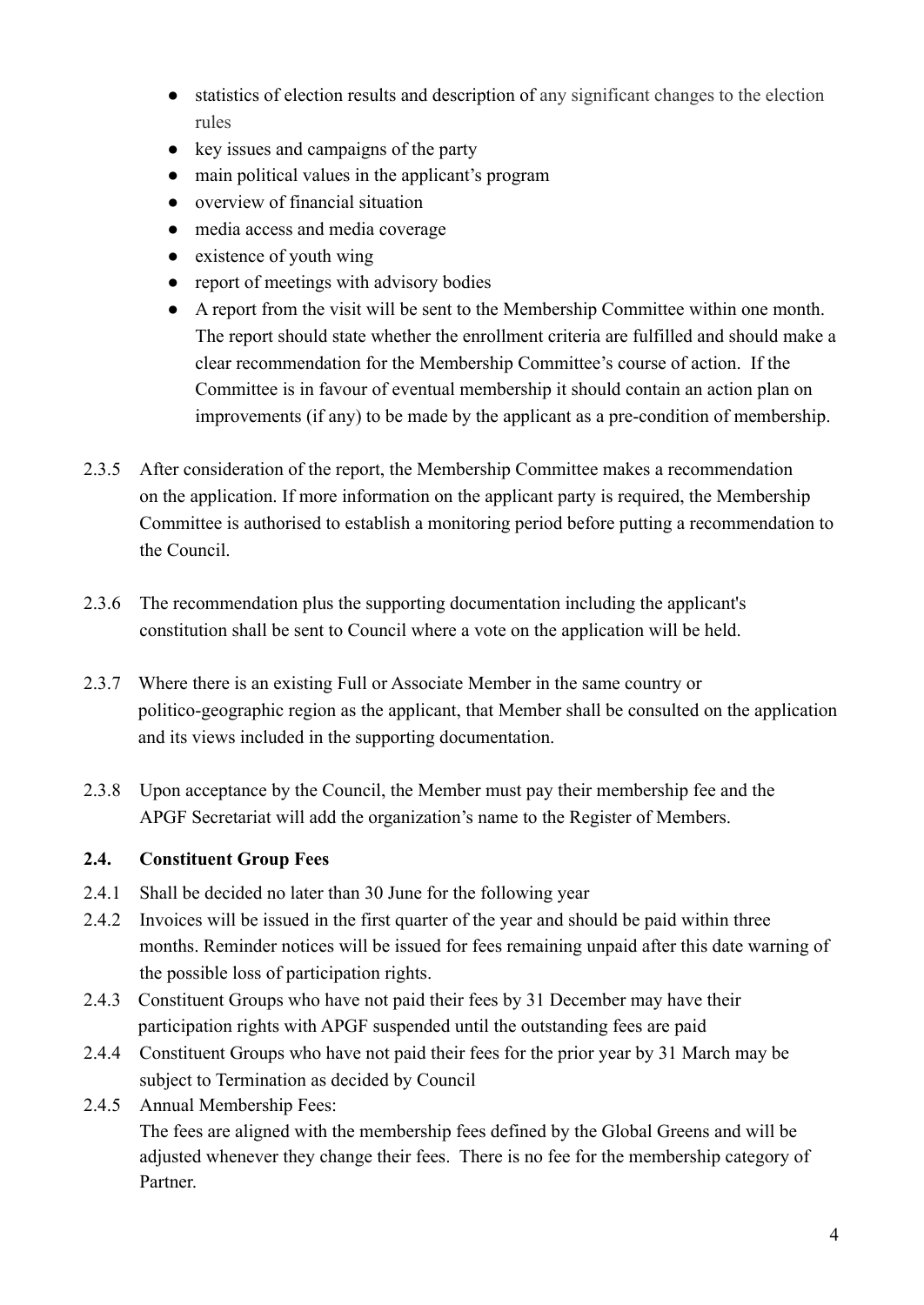- statistics of election results and description of any significant changes to the election rules
- key issues and campaigns of the party
- main political values in the applicant's program
- overview of financial situation
- media access and media coverage
- $\bullet$  existence of youth wing
- report of meetings with advisory bodies
- A report from the visit will be sent to the Membership Committee within one month. The report should state whether the enrollment criteria are fulfilled and should make a clear recommendation for the Membership Committee's course of action. If the Committee is in favour of eventual membership it should contain an action plan on improvements (if any) to be made by the applicant as a pre-condition of membership.
- 2.3.5 After consideration of the report, the Membership Committee makes a recommendation on the application. If more information on the applicant party is required, the Membership Committee is authorised to establish a monitoring period before putting a recommendation to the Council.
- 2.3.6 The recommendation plus the supporting documentation including the applicant's constitution shall be sent to Council where a vote on the application will be held.
- 2.3.7 Where there is an existing Full or Associate Member in the same country or politico-geographic region as the applicant, that Member shall be consulted on the application and its views included in the supporting documentation.
- 2.3.8 Upon acceptance by the Council, the Member must pay their membership fee and the APGF Secretariat will add the organization's name to the Register of Members.

#### <span id="page-3-0"></span>**2.4. Constituent Group Fees**

- 2.4.1 Shall be decided no later than 30 June for the following year
- 2.4.2 Invoices will be issued in the first quarter of the year and should be paid within three months. Reminder notices will be issued for fees remaining unpaid after this date warning of the possible loss of participation rights.
- 2.4.3 Constituent Groups who have not paid their fees by 31 December may have their participation rights with APGF suspended until the outstanding fees are paid
- 2.4.4 Constituent Groups who have not paid their fees for the prior year by 31 March may be subject to Termination as decided by Council
- 2.4.5 Annual Membership Fees:

The fees are aligned with the membership fees defined by the Global Greens and will be adjusted whenever they change their fees. There is no fee for the membership category of Partner.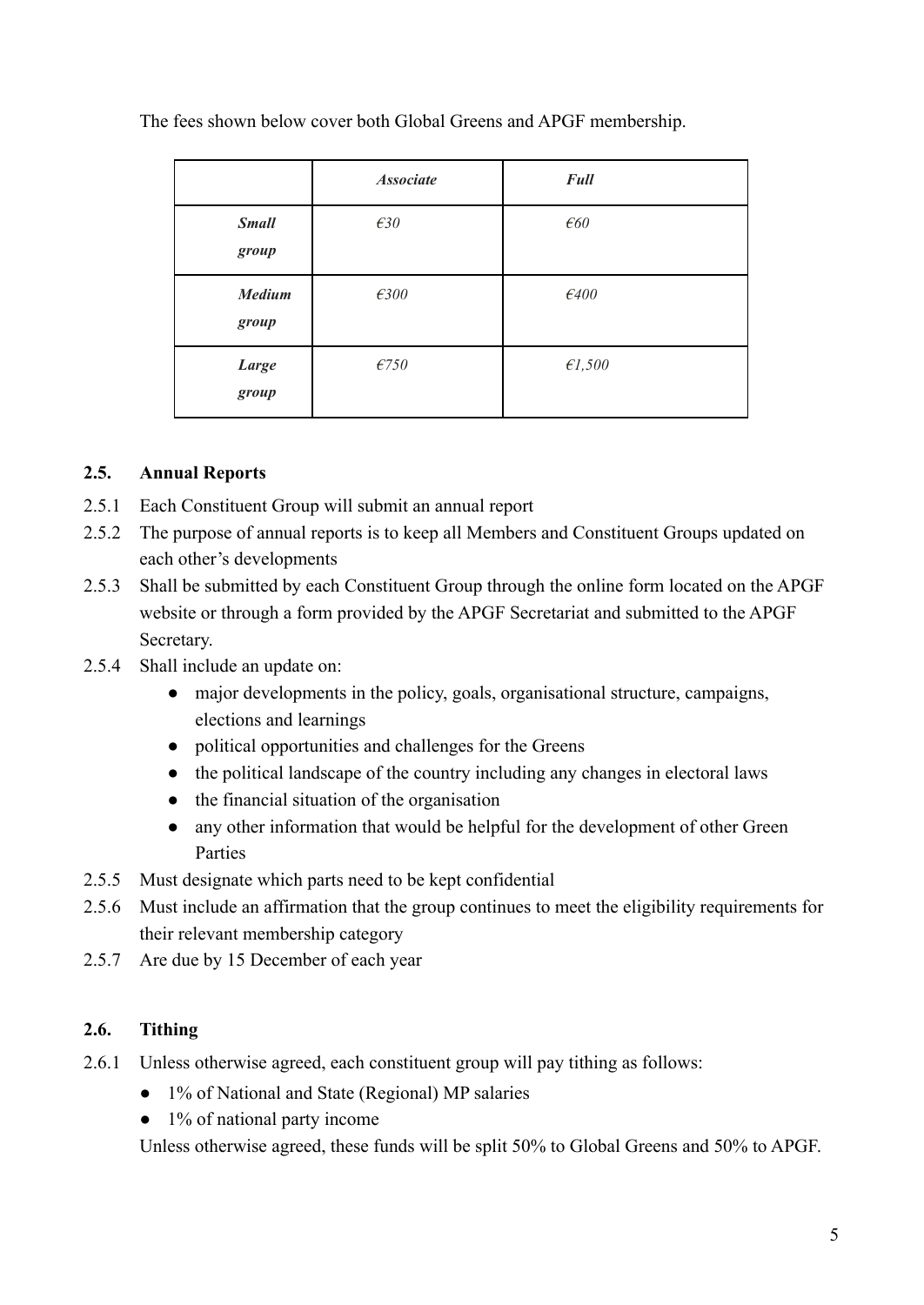The fees shown below cover both Global Greens and APGF membership.

|                        | <b>Associate</b> | <b>Full</b>    |
|------------------------|------------------|----------------|
| <b>Small</b><br>group  | E30              | $\epsilon$ 60  |
| <b>Medium</b><br>group | $\epsilon$ 300   | $\epsilon$ 400 |
| Large<br>group         | E750             | E1,500         |

#### <span id="page-4-0"></span>**2.5. Annual Reports**

- 2.5.1 Each Constituent Group will submit an annual report
- 2.5.2 The purpose of annual reports is to keep all Members and Constituent Groups updated on each other's developments
- 2.5.3 Shall be submitted by each Constituent Group through the online form located on the APGF website or through a form provided by the APGF Secretariat and submitted to the APGF Secretary.
- 2.5.4 Shall include an update on:
	- major developments in the policy, goals, organisational structure, campaigns, elections and learnings
	- political opportunities and challenges for the Greens
	- the political landscape of the country including any changes in electoral laws
	- the financial situation of the organisation
	- any other information that would be helpful for the development of other Green Parties
- 2.5.5 Must designate which parts need to be kept confidential
- 2.5.6 Must include an affirmation that the group continues to meet the eligibility requirements for their relevant membership category
- 2.5.7 Are due by 15 December of each year

#### <span id="page-4-1"></span>**2.6. Tithing**

- 2.6.1 Unless otherwise agreed, each constituent group will pay tithing as follows:
	- 1% of National and State (Regional) MP salaries
	- 1% of national party income

Unless otherwise agreed, these funds will be split 50% to Global Greens and 50% to APGF.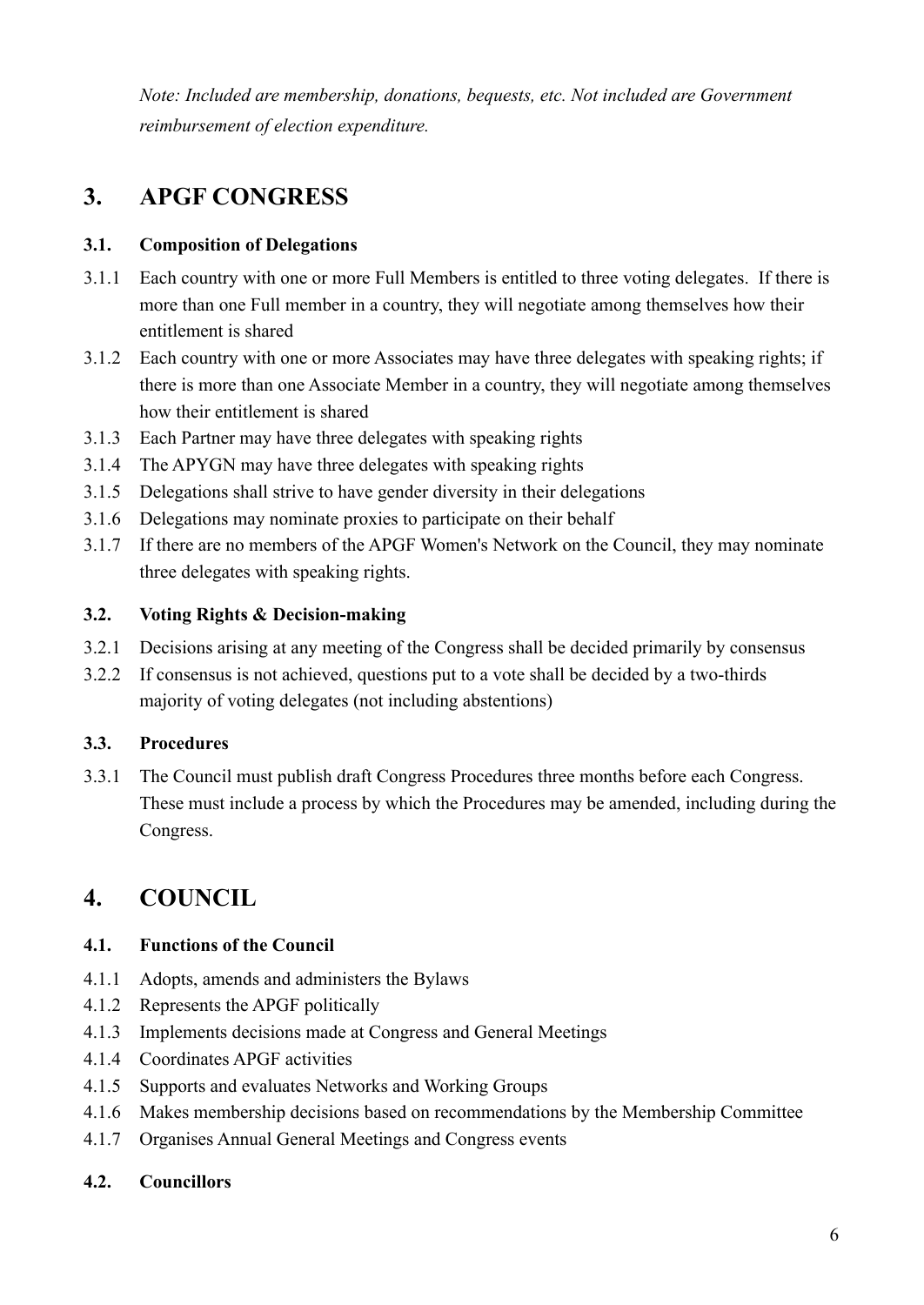*Note: Included are membership, donations, bequests, etc. Not included are Government reimbursement of election expenditure.*

# <span id="page-5-0"></span>**3. APGF CONGRESS**

#### <span id="page-5-1"></span>**3.1. Composition of Delegations**

- 3.1.1 Each country with one or more Full Members is entitled to three voting delegates. If there is more than one Full member in a country, they will negotiate among themselves how their entitlement is shared
- 3.1.2 Each country with one or more Associates may have three delegates with speaking rights; if there is more than one Associate Member in a country, they will negotiate among themselves how their entitlement is shared
- 3.1.3 Each Partner may have three delegates with speaking rights
- 3.1.4 The APYGN may have three delegates with speaking rights
- 3.1.5 Delegations shall strive to have gender diversity in their delegations
- 3.1.6 Delegations may nominate proxies to participate on their behalf
- 3.1.7 If there are no members of the APGF Women's Network on the Council, they may nominate three delegates with speaking rights.

#### <span id="page-5-2"></span>**3.2. Voting Rights & Decision-making**

- 3.2.1 Decisions arising at any meeting of the Congress shall be decided primarily by consensus
- 3.2.2 If consensus is not achieved, questions put to a vote shall be decided by a two-thirds majority of voting delegates (not including abstentions)

#### <span id="page-5-3"></span>**3.3. Procedures**

3.3.1 The Council must publish draft Congress Procedures three months before each Congress. These must include a process by which the Procedures may be amended, including during the Congress.

## <span id="page-5-4"></span>**4. COUNCIL**

#### <span id="page-5-5"></span>**4.1. Functions of the Council**

- 4.1.1 Adopts, amends and administers the Bylaws
- 4.1.2 Represents the APGF politically
- 4.1.3 Implements decisions made at Congress and General Meetings
- 4.1.4 Coordinates APGF activities
- 4.1.5 Supports and evaluates Networks and Working Groups
- 4.1.6 Makes membership decisions based on recommendations by the Membership Committee
- 4.1.7 Organises Annual General Meetings and Congress events

#### <span id="page-5-6"></span>**4.2. Councillors**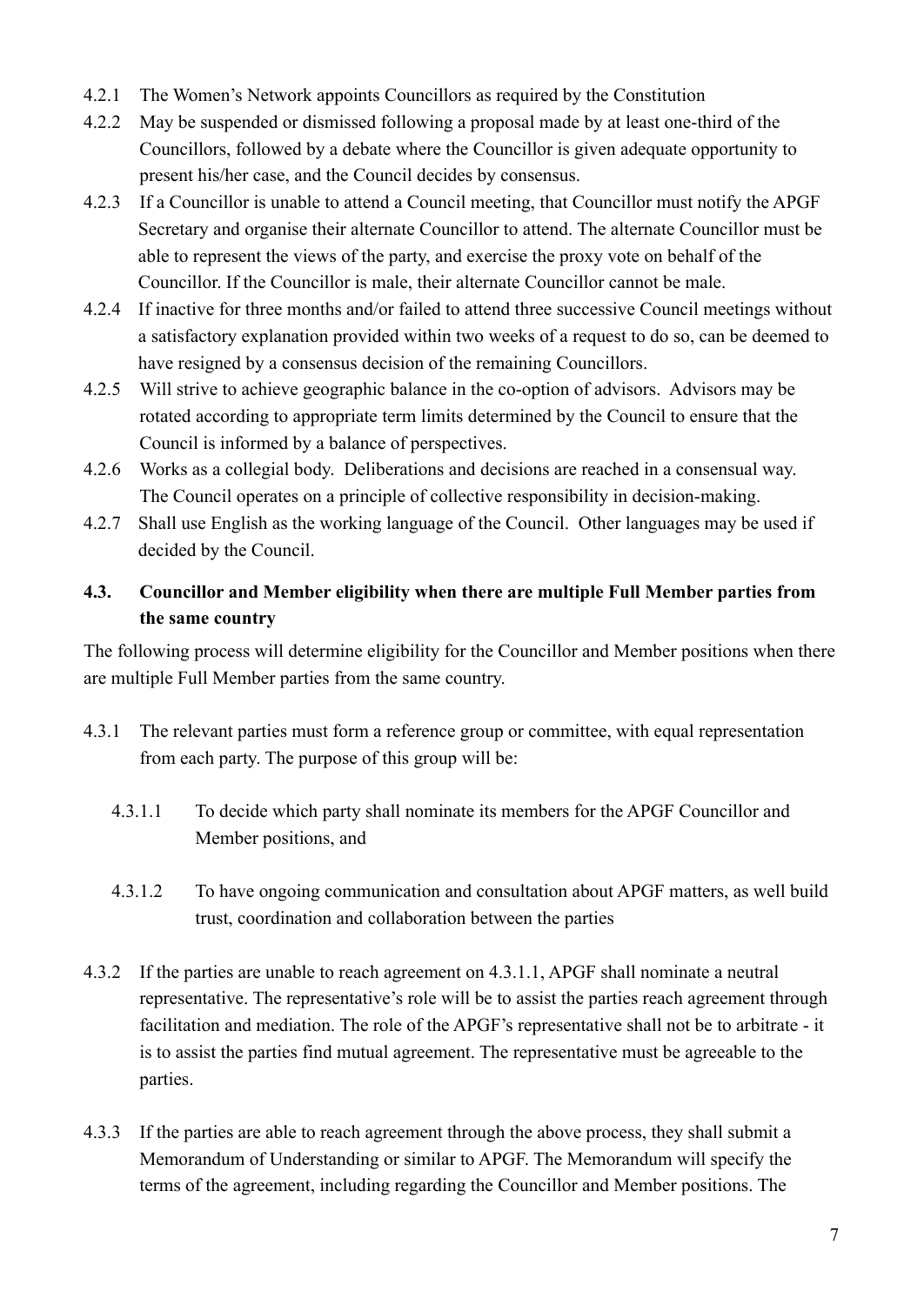- 4.2.1 The Women's Network appoints Councillors as required by the Constitution
- 4.2.2 May be suspended or dismissed following a proposal made by at least one-third of the Councillors, followed by a debate where the Councillor is given adequate opportunity to present his/her case, and the Council decides by consensus.
- 4.2.3 If a Councillor is unable to attend a Council meeting, that Councillor must notify the APGF Secretary and organise their alternate Councillor to attend. The alternate Councillor must be able to represent the views of the party, and exercise the proxy vote on behalf of the Councillor. If the Councillor is male, their alternate Councillor cannot be male.
- 4.2.4 If inactive for three months and/or failed to attend three successive Council meetings without a satisfactory explanation provided within two weeks of a request to do so, can be deemed to have resigned by a consensus decision of the remaining Councillors.
- 4.2.5 Will strive to achieve geographic balance in the co-option of advisors. Advisors may be rotated according to appropriate term limits determined by the Council to ensure that the Council is informed by a balance of perspectives.
- 4.2.6 Works as a collegial body. Deliberations and decisions are reached in a consensual way. The Council operates on a principle of collective responsibility in decision-making.
- 4.2.7 Shall use English as the working language of the Council. Other languages may be used if decided by the Council.

#### <span id="page-6-0"></span>**4.3. Councillor and Member eligibility when there are multiple Full Member parties from the same country**

The following process will determine eligibility for the Councillor and Member positions when there are multiple Full Member parties from the same country.

- 4.3.1 The relevant parties must form a reference group or committee, with equal representation from each party. The purpose of this group will be:
	- 4.3.1.1 To decide which party shall nominate its members for the APGF Councillor and Member positions, and
	- 4.3.1.2 To have ongoing communication and consultation about APGF matters, as well build trust, coordination and collaboration between the parties
- 4.3.2 If the parties are unable to reach agreement on 4.3.1.1, APGF shall nominate a neutral representative. The representative's role will be to assist the parties reach agreement through facilitation and mediation. The role of the APGF's representative shall not be to arbitrate - it is to assist the parties find mutual agreement. The representative must be agreeable to the parties.
- 4.3.3 If the parties are able to reach agreement through the above process, they shall submit a Memorandum of Understanding or similar to APGF. The Memorandum will specify the terms of the agreement, including regarding the Councillor and Member positions. The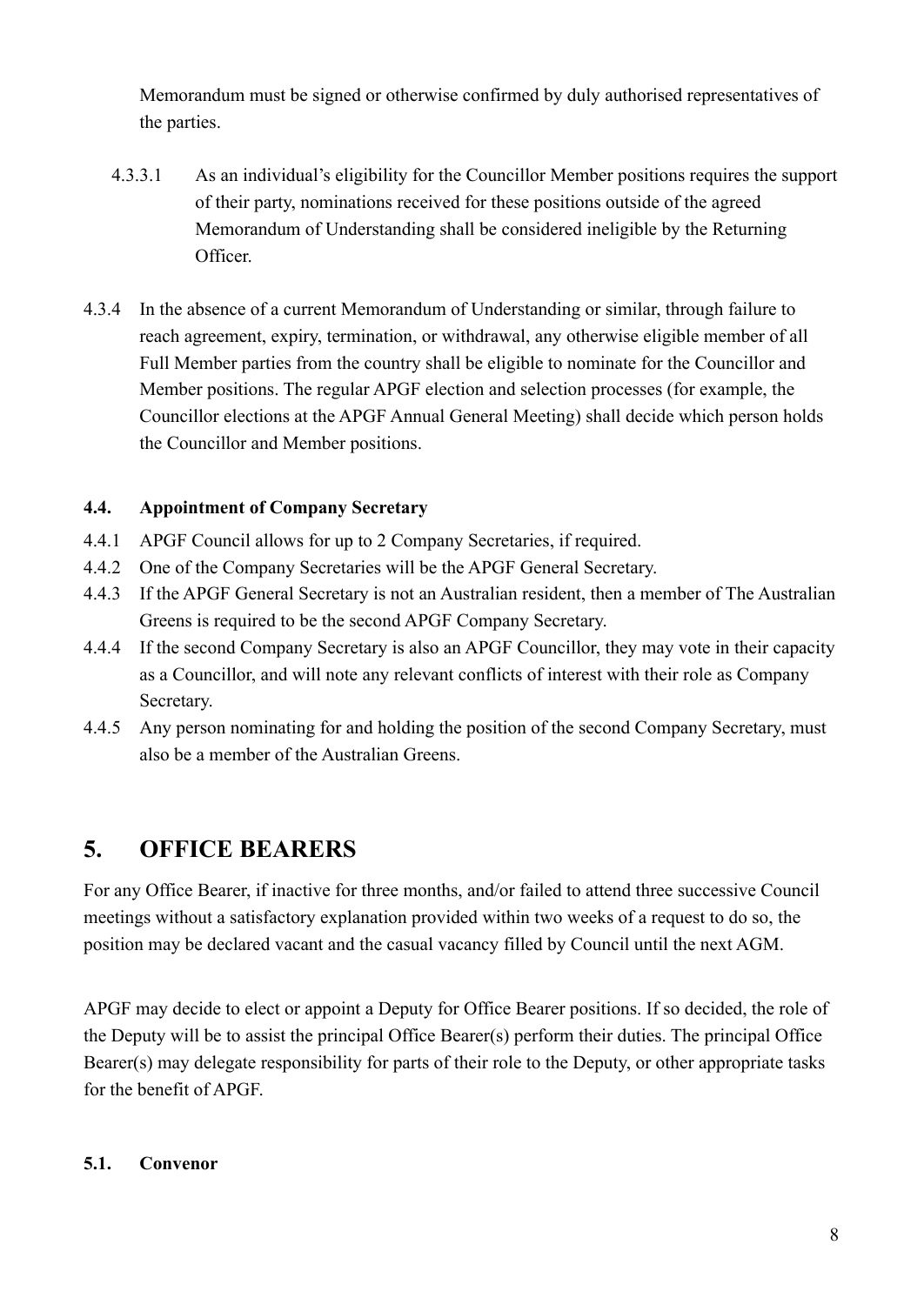Memorandum must be signed or otherwise confirmed by duly authorised representatives of the parties.

- 4.3.3.1 As an individual's eligibility for the Councillor Member positions requires the support of their party, nominations received for these positions outside of the agreed Memorandum of Understanding shall be considered ineligible by the Returning **Officer**
- 4.3.4 In the absence of a current Memorandum of Understanding or similar, through failure to reach agreement, expiry, termination, or withdrawal, any otherwise eligible member of all Full Member parties from the country shall be eligible to nominate for the Councillor and Member positions. The regular APGF election and selection processes (for example, the Councillor elections at the APGF Annual General Meeting) shall decide which person holds the Councillor and Member positions.

#### <span id="page-7-0"></span>**4.4. Appointment of Company Secretary**

- 4.4.1 APGF Council allows for up to 2 Company Secretaries, if required.
- 4.4.2 One of the Company Secretaries will be the APGF General Secretary.
- 4.4.3 If the APGF General Secretary is not an Australian resident, then a member of The Australian Greens is required to be the second APGF Company Secretary.
- 4.4.4 If the second Company Secretary is also an APGF Councillor, they may vote in their capacity as a Councillor, and will note any relevant conflicts of interest with their role as Company Secretary.
- 4.4.5 Any person nominating for and holding the position of the second Company Secretary, must also be a member of the Australian Greens.

## <span id="page-7-1"></span>**5. OFFICE BEARERS**

For any Office Bearer, if inactive for three months, and/or failed to attend three successive Council meetings without a satisfactory explanation provided within two weeks of a request to do so, the position may be declared vacant and the casual vacancy filled by Council until the next AGM.

APGF may decide to elect or appoint a Deputy for Office Bearer positions. If so decided, the role of the Deputy will be to assist the principal Office Bearer(s) perform their duties. The principal Office Bearer(s) may delegate responsibility for parts of their role to the Deputy, or other appropriate tasks for the benefit of APGF.

#### <span id="page-7-2"></span>**5.1. Convenor**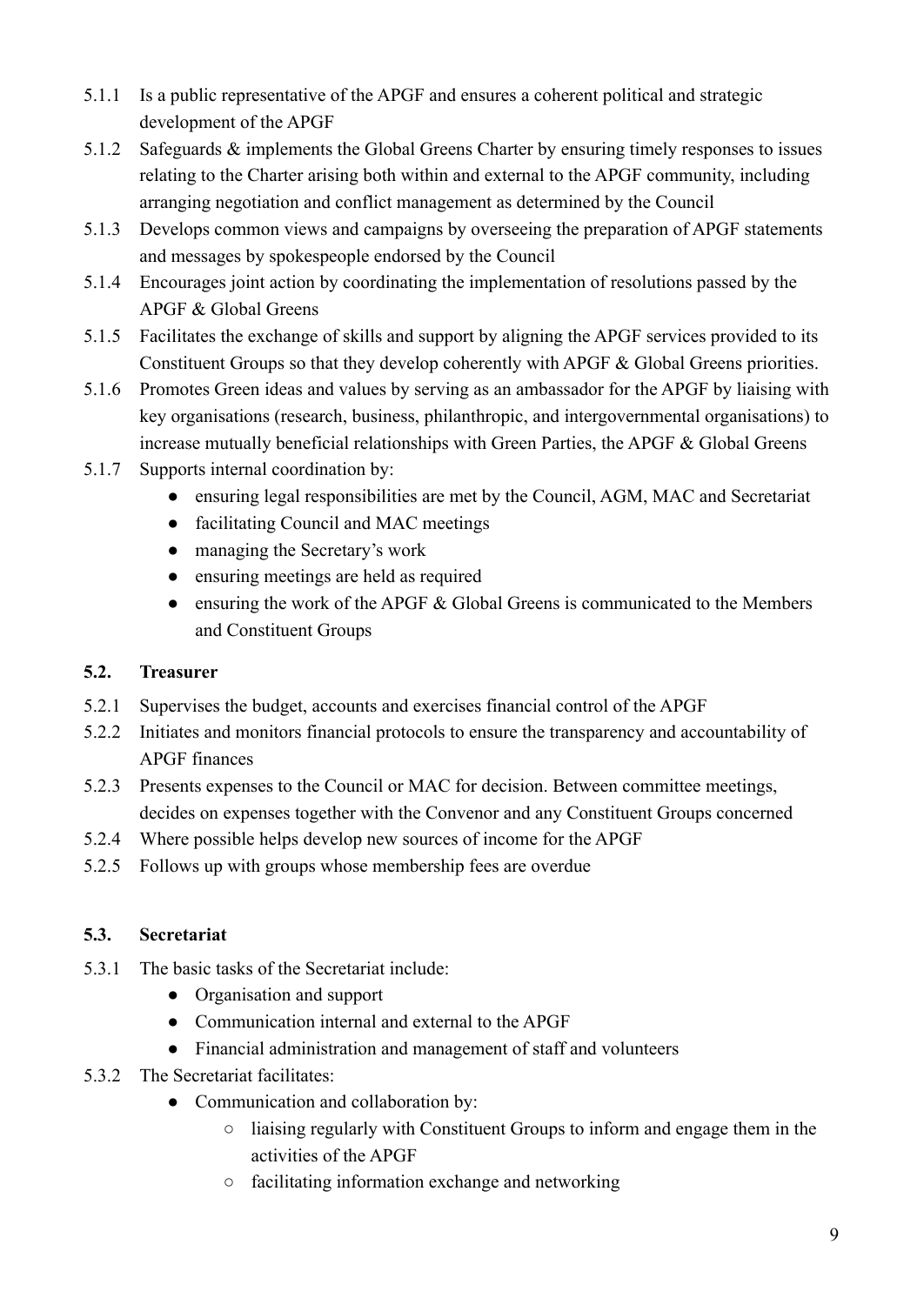- 5.1.1 Is a public representative of the APGF and ensures a coherent political and strategic development of the APGF
- 5.1.2 Safeguards & implements the Global Greens Charter by ensuring timely responses to issues relating to the Charter arising both within and external to the APGF community, including arranging negotiation and conflict management as determined by the Council
- 5.1.3 Develops common views and campaigns by overseeing the preparation of APGF statements and messages by spokespeople endorsed by the Council
- 5.1.4 Encourages joint action by coordinating the implementation of resolutions passed by the APGF & Global Greens
- 5.1.5 Facilitates the exchange of skills and support by aligning the APGF services provided to its Constituent Groups so that they develop coherently with APGF & Global Greens priorities.
- 5.1.6 Promotes Green ideas and values by serving as an ambassador for the APGF by liaising with key organisations (research, business, philanthropic, and intergovernmental organisations) to increase mutually beneficial relationships with Green Parties, the APGF & Global Greens
- 5.1.7 Supports internal coordination by:
	- ensuring legal responsibilities are met by the Council, AGM, MAC and Secretariat
	- facilitating Council and MAC meetings
	- managing the Secretary's work
	- ensuring meetings are held as required
	- $\bullet$  ensuring the work of the APGF & Global Greens is communicated to the Members and Constituent Groups

#### <span id="page-8-0"></span>**5.2. Treasurer**

- 5.2.1 Supervises the budget, accounts and exercises financial control of the APGF
- 5.2.2 Initiates and monitors financial protocols to ensure the transparency and accountability of APGF finances
- 5.2.3 Presents expenses to the Council or MAC for decision. Between committee meetings, decides on expenses together with the Convenor and any Constituent Groups concerned
- 5.2.4 Where possible helps develop new sources of income for the APGF
- 5.2.5 Follows up with groups whose membership fees are overdue

#### <span id="page-8-1"></span>**5.3. Secretariat**

- 5.3.1 The basic tasks of the Secretariat include:
	- Organisation and support
	- Communication internal and external to the APGF
	- Financial administration and management of staff and volunteers
- 5.3.2 The Secretariat facilitates:
	- Communication and collaboration by:
		- liaising regularly with Constituent Groups to inform and engage them in the activities of the APGF
		- facilitating information exchange and networking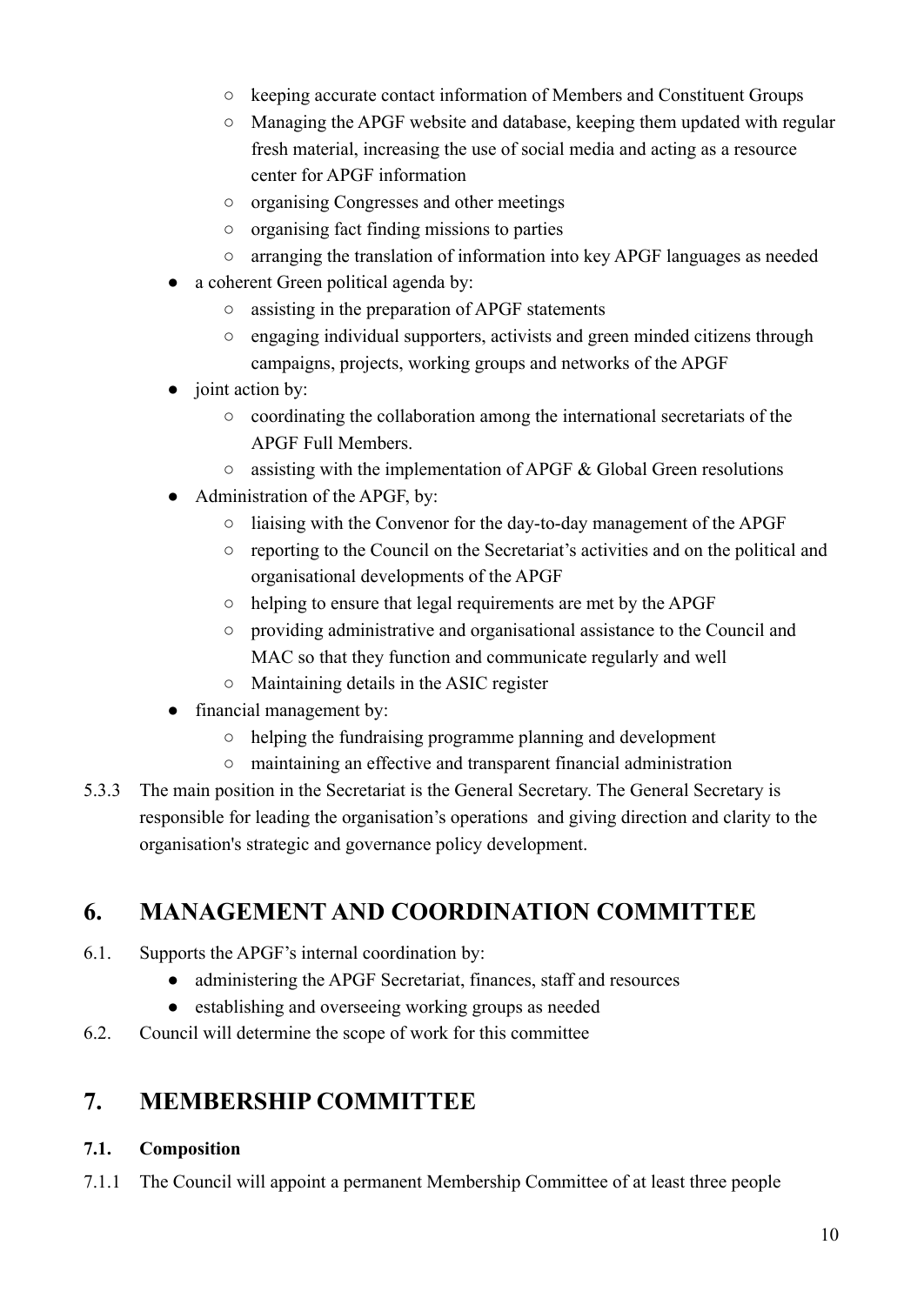- keeping accurate contact information of Members and Constituent Groups
- Managing the APGF website and database, keeping them updated with regular fresh material, increasing the use of social media and acting as a resource center for APGF information
- organising Congresses and other meetings
- organising fact finding missions to parties
- arranging the translation of information into key APGF languages as needed
- a coherent Green political agenda by:
	- assisting in the preparation of APGF statements
	- engaging individual supporters, activists and green minded citizens through campaigns, projects, working groups and networks of the APGF
- joint action by:
	- coordinating the collaboration among the international secretariats of the APGF Full Members.
	- $\circ$  assisting with the implementation of APGF & Global Green resolutions
- Administration of the APGF, by:
	- liaising with the Convenor for the day-to-day management of the APGF
	- reporting to the Council on the Secretariat's activities and on the political and organisational developments of the APGF
	- helping to ensure that legal requirements are met by the APGF
	- providing administrative and organisational assistance to the Council and MAC so that they function and communicate regularly and well
	- Maintaining details in the ASIC register
- financial management by:
	- helping the fundraising programme planning and development
	- maintaining an effective and transparent financial administration
- 5.3.3 The main position in the Secretariat is the General Secretary. The General Secretary is responsible for leading the organisation's operations and giving direction and clarity to the organisation's strategic and governance policy development.

## <span id="page-9-0"></span>**6. MANAGEMENT AND COORDINATION COMMITTEE**

- 6.1. Supports the APGF's internal coordination by:
	- administering the APGF Secretariat, finances, staff and resources
	- establishing and overseeing working groups as needed
- <span id="page-9-1"></span>6.2. Council will determine the scope of work for this committee

### **7. MEMBERSHIP COMMITTEE**

#### <span id="page-9-2"></span>**7.1. Composition**

7.1.1 The Council will appoint a permanent Membership Committee of at least three people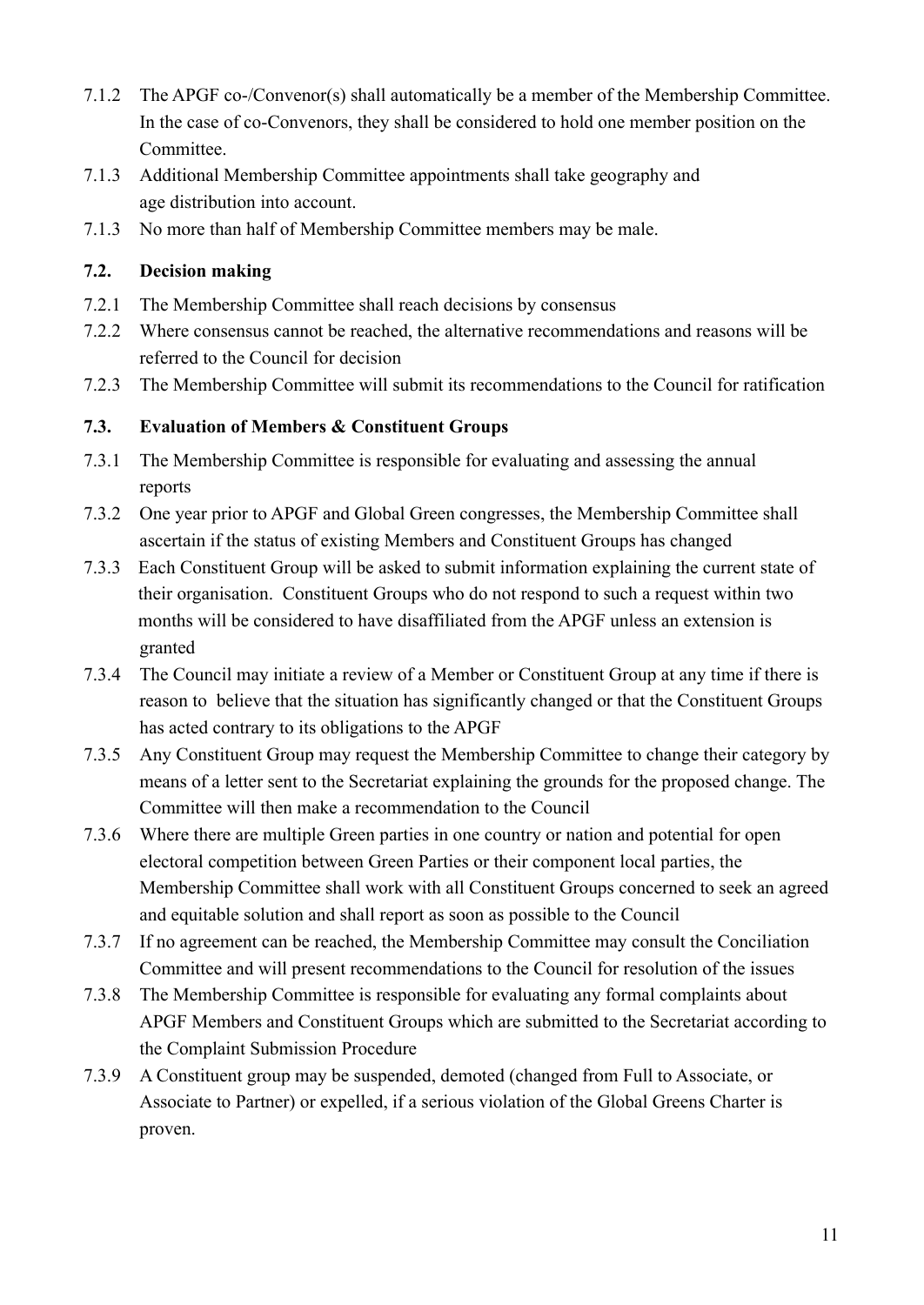- 7.1.2 The APGF co-/Convenor(s) shall automatically be a member of the Membership Committee. In the case of co-Convenors, they shall be considered to hold one member position on the Committee.
- 7.1.3 Additional Membership Committee appointments shall take geography and age distribution into account.
- 7.1.3 No more than half of Membership Committee members may be male.

#### <span id="page-10-0"></span>**7.2. Decision making**

- 7.2.1 The Membership Committee shall reach decisions by consensus
- 7.2.2 Where consensus cannot be reached, the alternative recommendations and reasons will be referred to the Council for decision
- 7.2.3 The Membership Committee will submit its recommendations to the Council for ratification

#### <span id="page-10-1"></span>**7.3. Evaluation of Members & Constituent Groups**

- 7.3.1 The Membership Committee is responsible for evaluating and assessing the annual reports
- 7.3.2 One year prior to APGF and Global Green congresses, the Membership Committee shall ascertain if the status of existing Members and Constituent Groups has changed
- 7.3.3 Each Constituent Group will be asked to submit information explaining the current state of their organisation. Constituent Groups who do not respond to such a request within two months will be considered to have disaffiliated from the APGF unless an extension is granted
- 7.3.4 The Council may initiate a review of a Member or Constituent Group at any time if there is reason to believe that the situation has significantly changed or that the Constituent Groups has acted contrary to its obligations to the APGF
- 7.3.5 Any Constituent Group may request the Membership Committee to change their category by means of a letter sent to the Secretariat explaining the grounds for the proposed change. The Committee will then make a recommendation to the Council
- 7.3.6 Where there are multiple Green parties in one country or nation and potential for open electoral competition between Green Parties or their component local parties, the Membership Committee shall work with all Constituent Groups concerned to seek an agreed and equitable solution and shall report as soon as possible to the Council
- 7.3.7 If no agreement can be reached, the Membership Committee may consult the Conciliation Committee and will present recommendations to the Council for resolution of the issues
- 7.3.8 The Membership Committee is responsible for evaluating any formal complaints about APGF Members and Constituent Groups which are submitted to the Secretariat according to the Complaint Submission Procedure
- 7.3.9 A Constituent group may be suspended, demoted (changed from Full to Associate, or Associate to Partner) or expelled, if a serious violation of the Global Greens Charter is proven.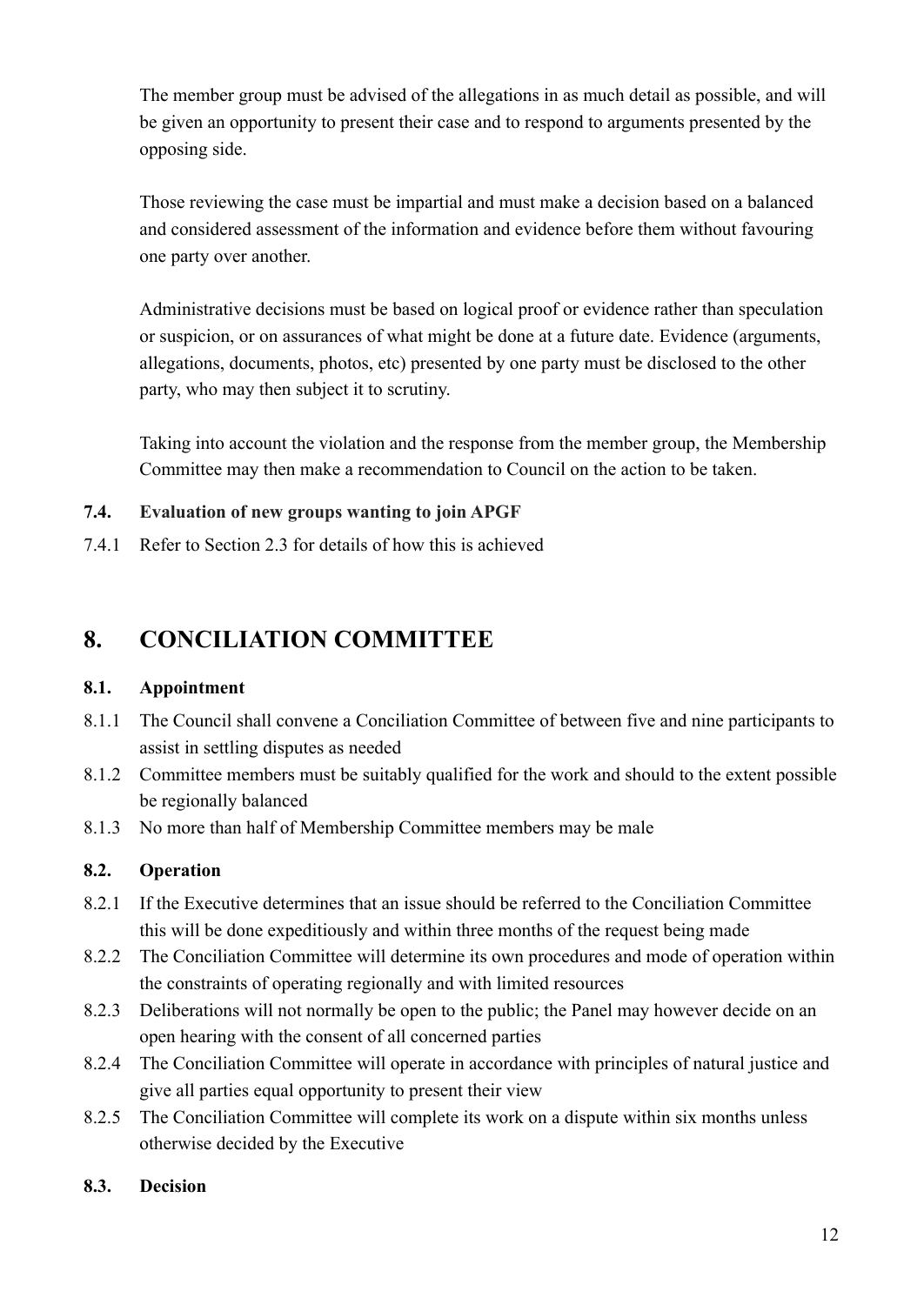The member group must be advised of the allegations in as much detail as possible, and will be given an opportunity to present their case and to respond to arguments presented by the opposing side.

Those reviewing the case must be impartial and must make a decision based on a balanced and considered assessment of the information and evidence before them without favouring one party over another.

Administrative decisions must be based on logical proof or evidence rather than speculation or suspicion, or on assurances of what might be done at a future date. Evidence (arguments, allegations, documents, photos, etc) presented by one party must be disclosed to the other party, who may then subject it to scrutiny.

Taking into account the violation and the response from the member group, the Membership Committee may then make a recommendation to Council on the action to be taken.

#### <span id="page-11-0"></span>**7.4. Evaluation of new groups wanting to join APGF**

7.4.1 Refer to Section 2.3 for details of how this is achieved

### <span id="page-11-1"></span>**8. CONCILIATION COMMITTEE**

#### <span id="page-11-2"></span>**8.1. Appointment**

- 8.1.1 The Council shall convene a Conciliation Committee of between five and nine participants to assist in settling disputes as needed
- 8.1.2 Committee members must be suitably qualified for the work and should to the extent possible be regionally balanced
- 8.1.3 No more than half of Membership Committee members may be male

#### <span id="page-11-3"></span>**8.2. Operation**

- 8.2.1 If the Executive determines that an issue should be referred to the Conciliation Committee this will be done expeditiously and within three months of the request being made
- 8.2.2 The Conciliation Committee will determine its own procedures and mode of operation within the constraints of operating regionally and with limited resources
- 8.2.3 Deliberations will not normally be open to the public; the Panel may however decide on an open hearing with the consent of all concerned parties
- 8.2.4 The Conciliation Committee will operate in accordance with principles of natural justice and give all parties equal opportunity to present their view
- 8.2.5 The Conciliation Committee will complete its work on a dispute within six months unless otherwise decided by the Executive

#### <span id="page-11-4"></span>**8.3. Decision**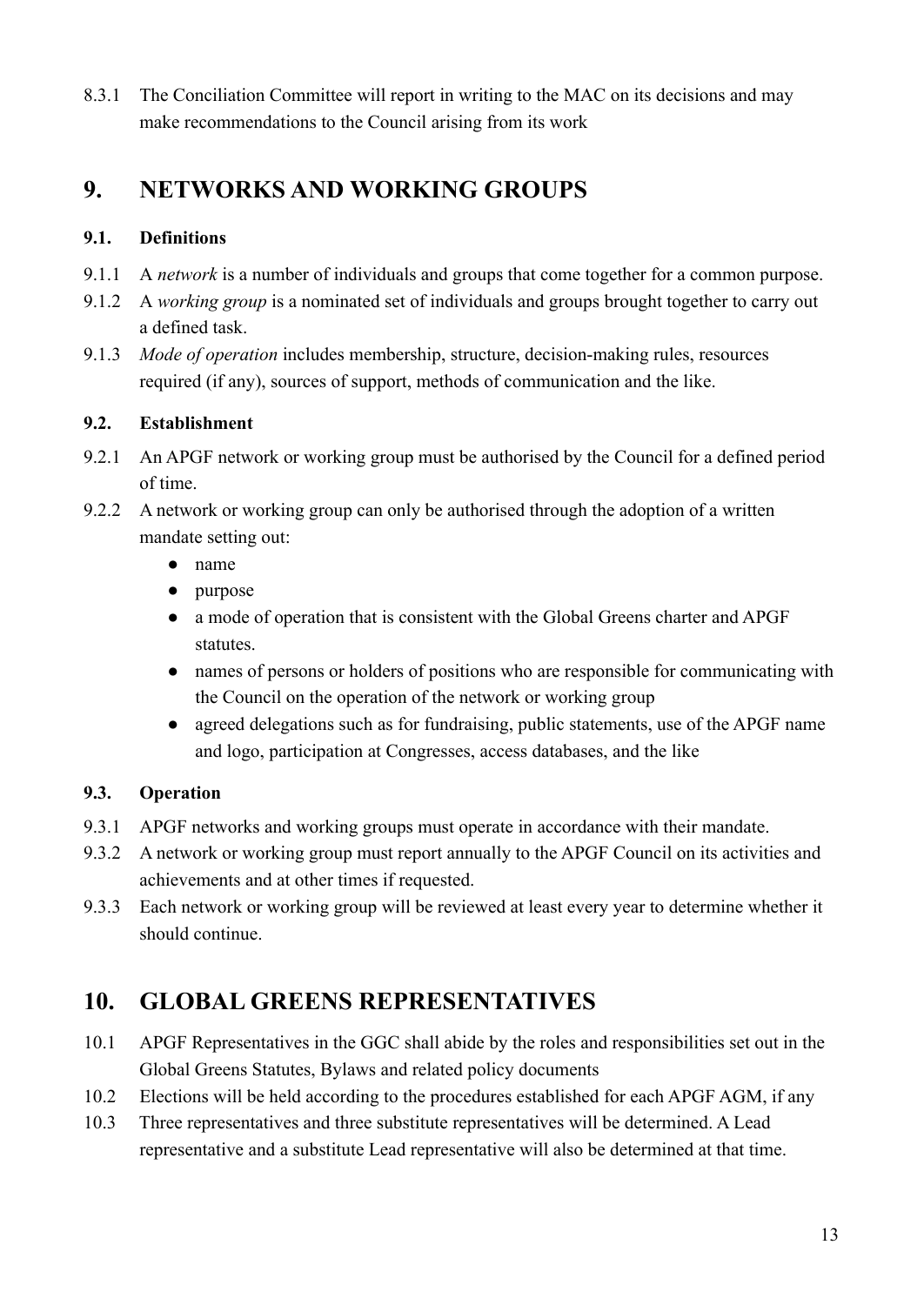8.3.1 The Conciliation Committee will report in writing to the MAC on its decisions and may make recommendations to the Council arising from its work

# <span id="page-12-0"></span>**9. NETWORKS AND WORKING GROUPS**

#### <span id="page-12-1"></span>**9.1. Definitions**

- 9.1.1 A *network* is a number of individuals and groups that come together for a common purpose.
- 9.1.2 A *working group* is a nominated set of individuals and groups brought together to carry out a defined task.
- 9.1.3 *Mode of operation* includes membership, structure, decision-making rules, resources required (if any), sources of support, methods of communication and the like.

#### <span id="page-12-2"></span>**9.2. Establishment**

- 9.2.1 An APGF network or working group must be authorised by the Council for a defined period of time.
- 9.2.2 A network or working group can only be authorised through the adoption of a written mandate setting out:
	- name
	- purpose
	- a mode of operation that is consistent with the Global Greens charter and APGF statutes.
	- names of persons or holders of positions who are responsible for communicating with the Council on the operation of the network or working group
	- agreed delegations such as for fundraising, public statements, use of the APGF name and logo, participation at Congresses, access databases, and the like

#### <span id="page-12-3"></span>**9.3. Operation**

- 9.3.1 APGF networks and working groups must operate in accordance with their mandate.
- 9.3.2 A network or working group must report annually to the APGF Council on its activities and achievements and at other times if requested.
- 9.3.3 Each network or working group will be reviewed at least every year to determine whether it should continue.

# <span id="page-12-4"></span>**10. GLOBAL GREENS REPRESENTATIVES**

- 10.1 APGF Representatives in the GGC shall abide by the roles and responsibilities set out in the Global Greens Statutes, Bylaws and related policy documents
- 10.2 Elections will be held according to the procedures established for each APGF AGM, if any
- 10.3 Three representatives and three substitute representatives will be determined. A Lead representative and a substitute Lead representative will also be determined at that time.